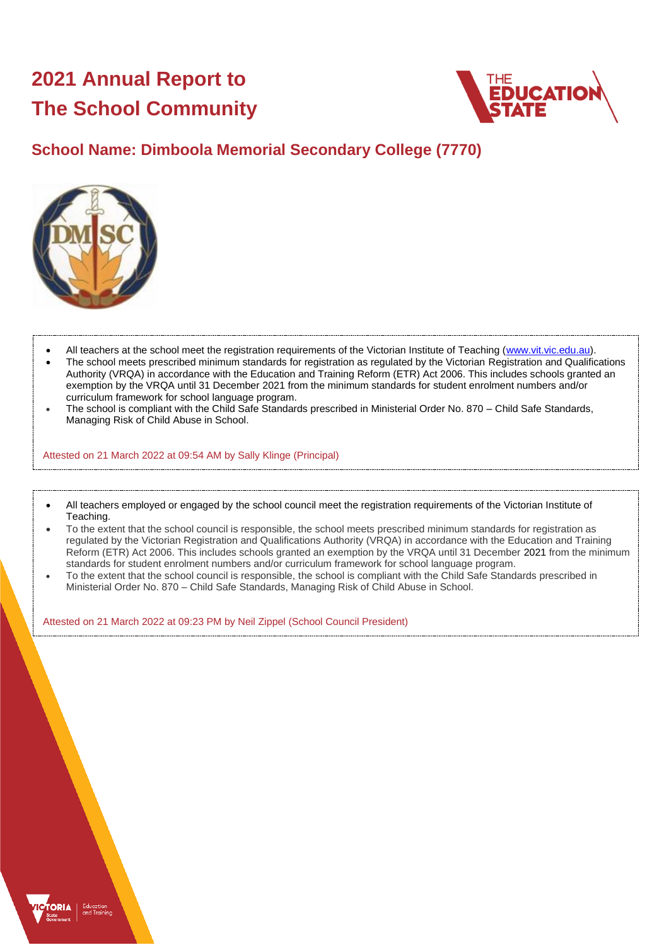# **2021 Annual Report to The School Community**



## **School Name: Dimboola Memorial Secondary College (7770)**



- All teachers at the school meet the registration requirements of the Victorian Institute of Teaching [\(www.vit.vic.edu.au\)](https://www.vit.vic.edu.au/).
- The school meets prescribed minimum standards for registration as regulated by the Victorian Registration and Qualifications Authority (VRQA) in accordance with the Education and Training Reform (ETR) Act 2006. This includes schools granted an exemption by the VRQA until 31 December 2021 from the minimum standards for student enrolment numbers and/or curriculum framework for school language program.
- The school is compliant with the Child Safe Standards prescribed in Ministerial Order No. 870 Child Safe Standards, Managing Risk of Child Abuse in School.

Attested on 21 March 2022 at 09:54 AM by Sally Klinge (Principal)

- All teachers employed or engaged by the school council meet the registration requirements of the Victorian Institute of Teaching.
- To the extent that the school council is responsible, the school meets prescribed minimum standards for registration as regulated by the Victorian Registration and Qualifications Authority (VRQA) in accordance with the Education and Training Reform (ETR) Act 2006. This includes schools granted an exemption by the VRQA until 31 December 2021 from the minimum standards for student enrolment numbers and/or curriculum framework for school language program.
- To the extent that the school council is responsible, the school is compliant with the Child Safe Standards prescribed in Ministerial Order No. 870 – Child Safe Standards, Managing Risk of Child Abuse in School.

Attested on 21 March 2022 at 09:23 PM by Neil Zippel (School Council President)

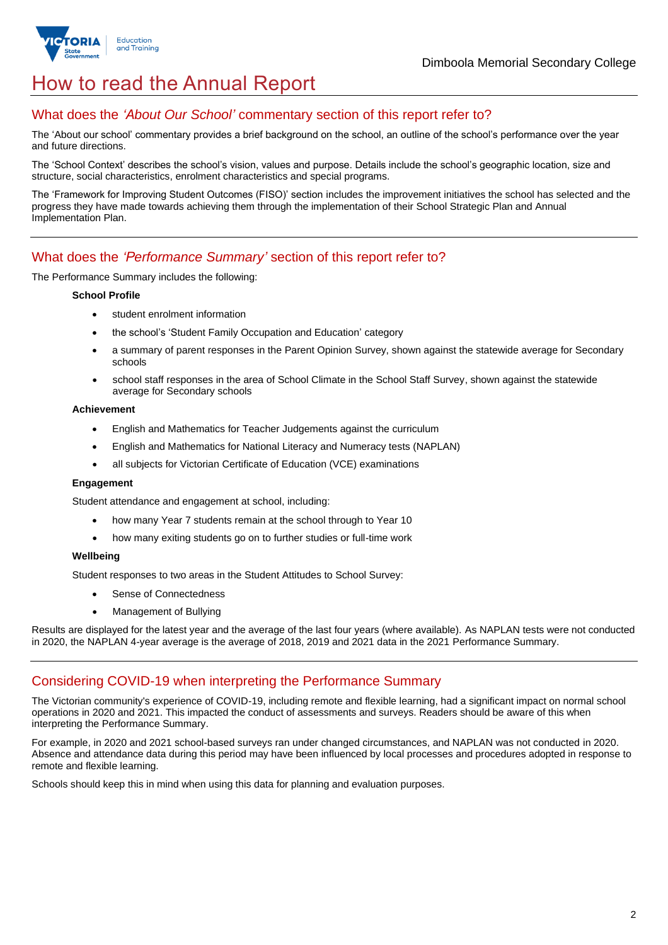

## How to read the Annual Report

### What does the *'About Our School'* commentary section of this report refer to?

The 'About our school' commentary provides a brief background on the school, an outline of the school's performance over the year and future directions.

The 'School Context' describes the school's vision, values and purpose. Details include the school's geographic location, size and structure, social characteristics, enrolment characteristics and special programs.

The 'Framework for Improving Student Outcomes (FISO)' section includes the improvement initiatives the school has selected and the progress they have made towards achieving them through the implementation of their School Strategic Plan and Annual Implementation Plan.

### What does the *'Performance Summary'* section of this report refer to?

The Performance Summary includes the following:

#### **School Profile**

- student enrolment information
- the school's 'Student Family Occupation and Education' category
- a summary of parent responses in the Parent Opinion Survey, shown against the statewide average for Secondary schools
- school staff responses in the area of School Climate in the School Staff Survey, shown against the statewide average for Secondary schools

#### **Achievement**

- English and Mathematics for Teacher Judgements against the curriculum
- English and Mathematics for National Literacy and Numeracy tests (NAPLAN)
- all subjects for Victorian Certificate of Education (VCE) examinations

#### **Engagement**

Student attendance and engagement at school, including:

- how many Year 7 students remain at the school through to Year 10
- how many exiting students go on to further studies or full-time work

#### **Wellbeing**

Student responses to two areas in the Student Attitudes to School Survey:

- Sense of Connectedness
- Management of Bullying

Results are displayed for the latest year and the average of the last four years (where available). As NAPLAN tests were not conducted in 2020, the NAPLAN 4-year average is the average of 2018, 2019 and 2021 data in the 2021 Performance Summary.

#### Considering COVID-19 when interpreting the Performance Summary

The Victorian community's experience of COVID-19, including remote and flexible learning, had a significant impact on normal school operations in 2020 and 2021. This impacted the conduct of assessments and surveys. Readers should be aware of this when interpreting the Performance Summary.

For example, in 2020 and 2021 school-based surveys ran under changed circumstances, and NAPLAN was not conducted in 2020. Absence and attendance data during this period may have been influenced by local processes and procedures adopted in response to remote and flexible learning.

Schools should keep this in mind when using this data for planning and evaluation purposes.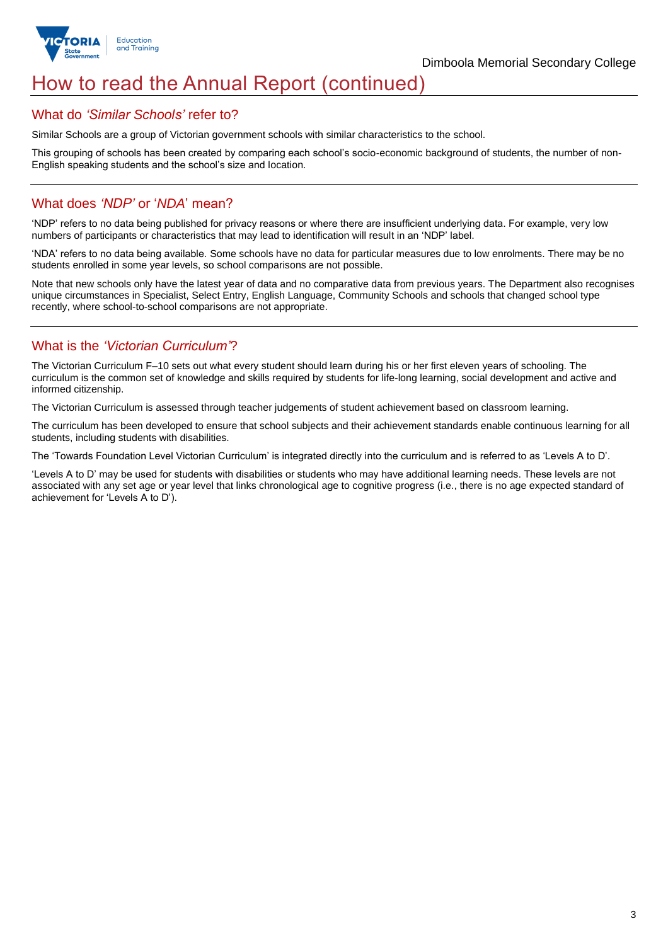

## How to read the Annual Report (continued)

#### What do *'Similar Schools'* refer to?

Similar Schools are a group of Victorian government schools with similar characteristics to the school.

This grouping of schools has been created by comparing each school's socio-economic background of students, the number of non-English speaking students and the school's size and location.

## What does *'NDP'* or '*NDA*' mean?

'NDP' refers to no data being published for privacy reasons or where there are insufficient underlying data. For example, very low numbers of participants or characteristics that may lead to identification will result in an 'NDP' label.

'NDA' refers to no data being available. Some schools have no data for particular measures due to low enrolments. There may be no students enrolled in some year levels, so school comparisons are not possible.

Note that new schools only have the latest year of data and no comparative data from previous years. The Department also recognises unique circumstances in Specialist, Select Entry, English Language, Community Schools and schools that changed school type recently, where school-to-school comparisons are not appropriate.

## What is the *'Victorian Curriculum'*?

The Victorian Curriculum F–10 sets out what every student should learn during his or her first eleven years of schooling. The curriculum is the common set of knowledge and skills required by students for life-long learning, social development and active and informed citizenship.

The Victorian Curriculum is assessed through teacher judgements of student achievement based on classroom learning.

The curriculum has been developed to ensure that school subjects and their achievement standards enable continuous learning for all students, including students with disabilities.

The 'Towards Foundation Level Victorian Curriculum' is integrated directly into the curriculum and is referred to as 'Levels A to D'.

'Levels A to D' may be used for students with disabilities or students who may have additional learning needs. These levels are not associated with any set age or year level that links chronological age to cognitive progress (i.e., there is no age expected standard of achievement for 'Levels A to D').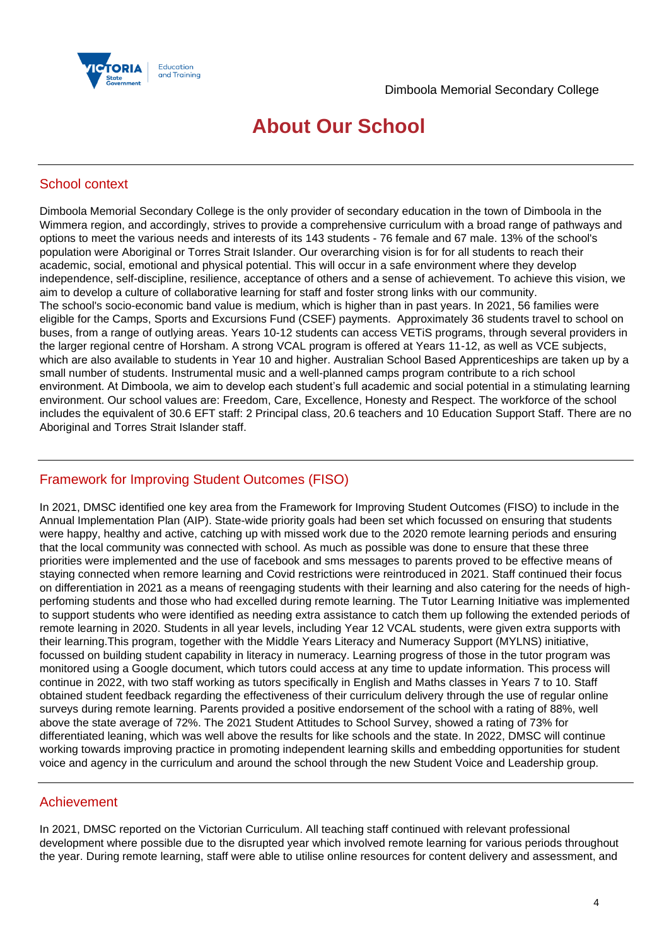

## **About Our School**

## School context

Dimboola Memorial Secondary College is the only provider of secondary education in the town of Dimboola in the Wimmera region, and accordingly, strives to provide a comprehensive curriculum with a broad range of pathways and options to meet the various needs and interests of its 143 students - 76 female and 67 male. 13% of the school's population were Aboriginal or Torres Strait Islander. Our overarching vision is for for all students to reach their academic, social, emotional and physical potential. This will occur in a safe environment where they develop independence, self-discipline, resilience, acceptance of others and a sense of achievement. To achieve this vision, we aim to develop a culture of collaborative learning for staff and foster strong links with our community. The school's socio-economic band value is medium, which is higher than in past years. In 2021, 56 families were eligible for the Camps, Sports and Excursions Fund (CSEF) payments. Approximately 36 students travel to school on buses, from a range of outlying areas. Years 10-12 students can access VETiS programs, through several providers in the larger regional centre of Horsham. A strong VCAL program is offered at Years 11-12, as well as VCE subjects, which are also available to students in Year 10 and higher. Australian School Based Apprenticeships are taken up by a small number of students. Instrumental music and a well-planned camps program contribute to a rich school environment. At Dimboola, we aim to develop each student's full academic and social potential in a stimulating learning environment. Our school values are: Freedom, Care, Excellence, Honesty and Respect. The workforce of the school includes the equivalent of 30.6 EFT staff: 2 Principal class, 20.6 teachers and 10 Education Support Staff. There are no Aboriginal and Torres Strait Islander staff.

### Framework for Improving Student Outcomes (FISO)

In 2021, DMSC identified one key area from the Framework for Improving Student Outcomes (FISO) to include in the Annual Implementation Plan (AIP). State-wide priority goals had been set which focussed on ensuring that students were happy, healthy and active, catching up with missed work due to the 2020 remote learning periods and ensuring that the local community was connected with school. As much as possible was done to ensure that these three priorities were implemented and the use of facebook and sms messages to parents proved to be effective means of staying connected when remore learning and Covid restrictions were reintroduced in 2021. Staff continued their focus on differentiation in 2021 as a means of reengaging students with their learning and also catering for the needs of highperfoming students and those who had excelled during remote learning. The Tutor Learning Initiative was implemented to support students who were identified as needing extra assistance to catch them up following the extended periods of remote learning in 2020. Students in all year levels, including Year 12 VCAL students, were given extra supports with their learning.This program, together with the Middle Years Literacy and Numeracy Support (MYLNS) initiative, focussed on building student capability in literacy in numeracy. Learning progress of those in the tutor program was monitored using a Google document, which tutors could access at any time to update information. This process will continue in 2022, with two staff working as tutors specifically in English and Maths classes in Years 7 to 10. Staff obtained student feedback regarding the effectiveness of their curriculum delivery through the use of regular online surveys during remote learning. Parents provided a positive endorsement of the school with a rating of 88%, well above the state average of 72%. The 2021 Student Attitudes to School Survey, showed a rating of 73% for differentiated leaning, which was well above the results for like schools and the state. In 2022, DMSC will continue working towards improving practice in promoting independent learning skills and embedding opportunities for student voice and agency in the curriculum and around the school through the new Student Voice and Leadership group.

#### Achievement

In 2021, DMSC reported on the Victorian Curriculum. All teaching staff continued with relevant professional development where possible due to the disrupted year which involved remote learning for various periods throughout the year. During remote learning, staff were able to utilise online resources for content delivery and assessment, and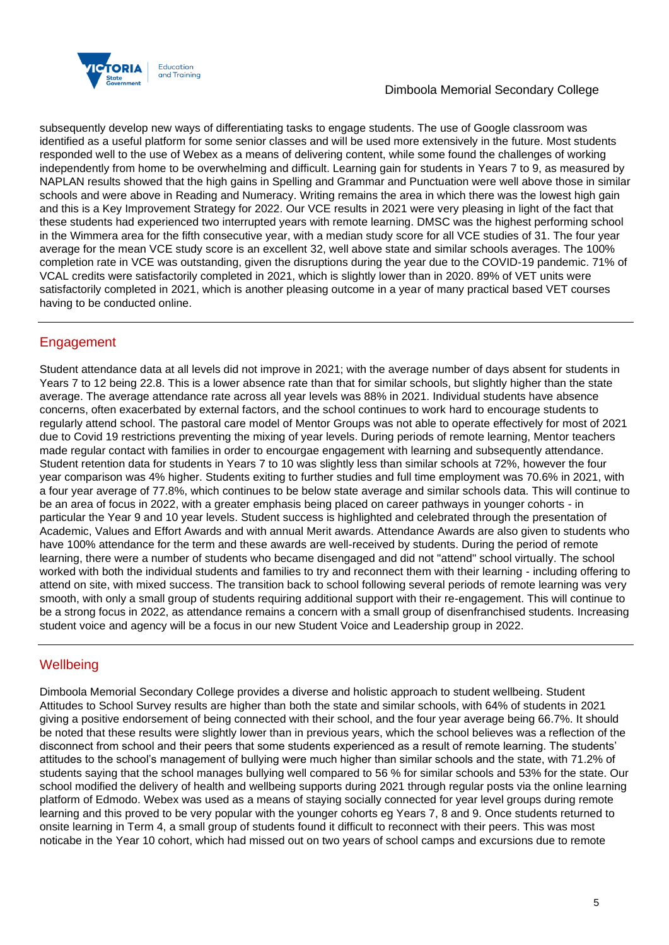

subsequently develop new ways of differentiating tasks to engage students. The use of Google classroom was identified as a useful platform for some senior classes and will be used more extensively in the future. Most students responded well to the use of Webex as a means of delivering content, while some found the challenges of working independently from home to be overwhelming and difficult. Learning gain for students in Years 7 to 9, as measured by NAPLAN results showed that the high gains in Spelling and Grammar and Punctuation were well above those in similar schools and were above in Reading and Numeracy. Writing remains the area in which there was the lowest high gain and this is a Key Improvement Strategy for 2022. Our VCE results in 2021 were very pleasing in light of the fact that these students had experienced two interrupted years with remote learning. DMSC was the highest performing school in the Wimmera area for the fifth consecutive year, with a median study score for all VCE studies of 31. The four year average for the mean VCE study score is an excellent 32, well above state and similar schools averages. The 100% completion rate in VCE was outstanding, given the disruptions during the year due to the COVID-19 pandemic. 71% of VCAL credits were satisfactorily completed in 2021, which is slightly lower than in 2020. 89% of VET units were satisfactorily completed in 2021, which is another pleasing outcome in a year of many practical based VET courses having to be conducted online.

## **Engagement**

Student attendance data at all levels did not improve in 2021; with the average number of days absent for students in Years 7 to 12 being 22.8. This is a lower absence rate than that for similar schools, but slightly higher than the state average. The average attendance rate across all year levels was 88% in 2021. Individual students have absence concerns, often exacerbated by external factors, and the school continues to work hard to encourage students to regularly attend school. The pastoral care model of Mentor Groups was not able to operate effectively for most of 2021 due to Covid 19 restrictions preventing the mixing of year levels. During periods of remote learning, Mentor teachers made regular contact with families in order to encourgae engagement with learning and subsequently attendance. Student retention data for students in Years 7 to 10 was slightly less than similar schools at 72%, however the four year comparison was 4% higher. Students exiting to further studies and full time employment was 70.6% in 2021, with a four year average of 77.8%, which continues to be below state average and similar schools data. This will continue to be an area of focus in 2022, with a greater emphasis being placed on career pathways in younger cohorts - in particular the Year 9 and 10 year levels. Student success is highlighted and celebrated through the presentation of Academic, Values and Effort Awards and with annual Merit awards. Attendance Awards are also given to students who have 100% attendance for the term and these awards are well-received by students. During the period of remote learning, there were a number of students who became disengaged and did not "attend" school virtually. The school worked with both the individual students and families to try and reconnect them with their learning - including offering to attend on site, with mixed success. The transition back to school following several periods of remote learning was very smooth, with only a small group of students requiring additional support with their re-engagement. This will continue to be a strong focus in 2022, as attendance remains a concern with a small group of disenfranchised students. Increasing student voice and agency will be a focus in our new Student Voice and Leadership group in 2022.

## **Wellbeing**

Dimboola Memorial Secondary College provides a diverse and holistic approach to student wellbeing. Student Attitudes to School Survey results are higher than both the state and similar schools, with 64% of students in 2021 giving a positive endorsement of being connected with their school, and the four year average being 66.7%. It should be noted that these results were slightly lower than in previous years, which the school believes was a reflection of the disconnect from school and their peers that some students experienced as a result of remote learning. The students' attitudes to the school's management of bullying were much higher than similar schools and the state, with 71.2% of students saying that the school manages bullying well compared to 56 % for similar schools and 53% for the state. Our school modified the delivery of health and wellbeing supports during 2021 through regular posts via the online learning platform of Edmodo. Webex was used as a means of staying socially connected for year level groups during remote learning and this proved to be very popular with the younger cohorts eg Years 7, 8 and 9. Once students returned to onsite learning in Term 4, a small group of students found it difficult to reconnect with their peers. This was most noticabe in the Year 10 cohort, which had missed out on two years of school camps and excursions due to remote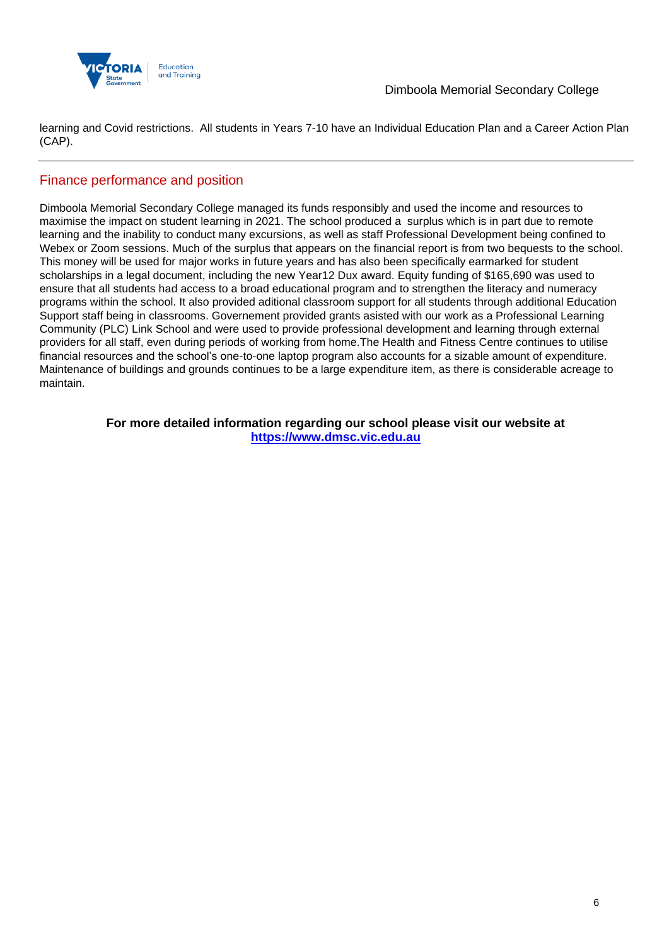

learning and Covid restrictions. All students in Years 7-10 have an Individual Education Plan and a Career Action Plan (CAP).

## Finance performance and position

Dimboola Memorial Secondary College managed its funds responsibly and used the income and resources to maximise the impact on student learning in 2021. The school produced a surplus which is in part due to remote learning and the inability to conduct many excursions, as well as staff Professional Development being confined to Webex or Zoom sessions. Much of the surplus that appears on the financial report is from two bequests to the school. This money will be used for major works in future years and has also been specifically earmarked for student scholarships in a legal document, including the new Year12 Dux award. Equity funding of \$165,690 was used to ensure that all students had access to a broad educational program and to strengthen the literacy and numeracy programs within the school. It also provided aditional classroom support for all students through additional Education Support staff being in classrooms. Governement provided grants asisted with our work as a Professional Learning Community (PLC) Link School and were used to provide professional development and learning through external providers for all staff, even during periods of working from home.The Health and Fitness Centre continues to utilise financial resources and the school's one-to-one laptop program also accounts for a sizable amount of expenditure. Maintenance of buildings and grounds continues to be a large expenditure item, as there is considerable acreage to maintain.

> **For more detailed information regarding our school please visit our website at [https://www.dmsc.vic.edu.au](https://www.dmsc.vic.edu.au/)**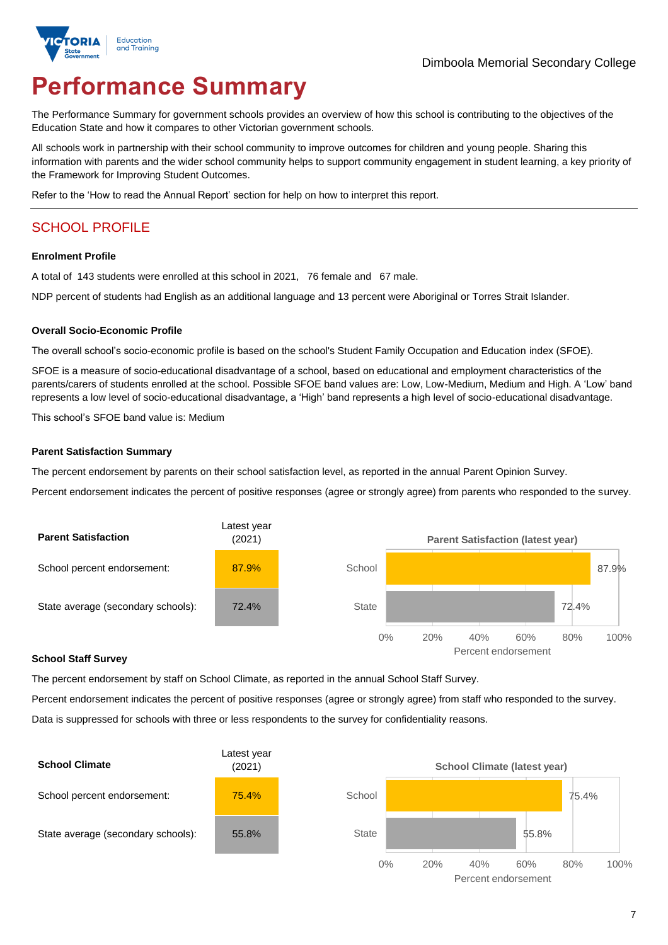

# **Performance Summary**

The Performance Summary for government schools provides an overview of how this school is contributing to the objectives of the Education State and how it compares to other Victorian government schools.

All schools work in partnership with their school community to improve outcomes for children and young people. Sharing this information with parents and the wider school community helps to support community engagement in student learning, a key priority of the Framework for Improving Student Outcomes.

Refer to the 'How to read the Annual Report' section for help on how to interpret this report.

## SCHOOL PROFILE

#### **Enrolment Profile**

A total of 143 students were enrolled at this school in 2021, 76 female and 67 male.

NDP percent of students had English as an additional language and 13 percent were Aboriginal or Torres Strait Islander.

#### **Overall Socio-Economic Profile**

The overall school's socio-economic profile is based on the school's Student Family Occupation and Education index (SFOE).

SFOE is a measure of socio-educational disadvantage of a school, based on educational and employment characteristics of the parents/carers of students enrolled at the school. Possible SFOE band values are: Low, Low-Medium, Medium and High. A 'Low' band represents a low level of socio-educational disadvantage, a 'High' band represents a high level of socio-educational disadvantage.

This school's SFOE band value is: Medium

#### **Parent Satisfaction Summary**

The percent endorsement by parents on their school satisfaction level, as reported in the annual Parent Opinion Survey.

Percent endorsement indicates the percent of positive responses (agree or strongly agree) from parents who responded to the survey.



#### **School Staff Survey**

The percent endorsement by staff on School Climate, as reported in the annual School Staff Survey.

Percent endorsement indicates the percent of positive responses (agree or strongly agree) from staff who responded to the survey. Data is suppressed for schools with three or less respondents to the survey for confidentiality reasons.

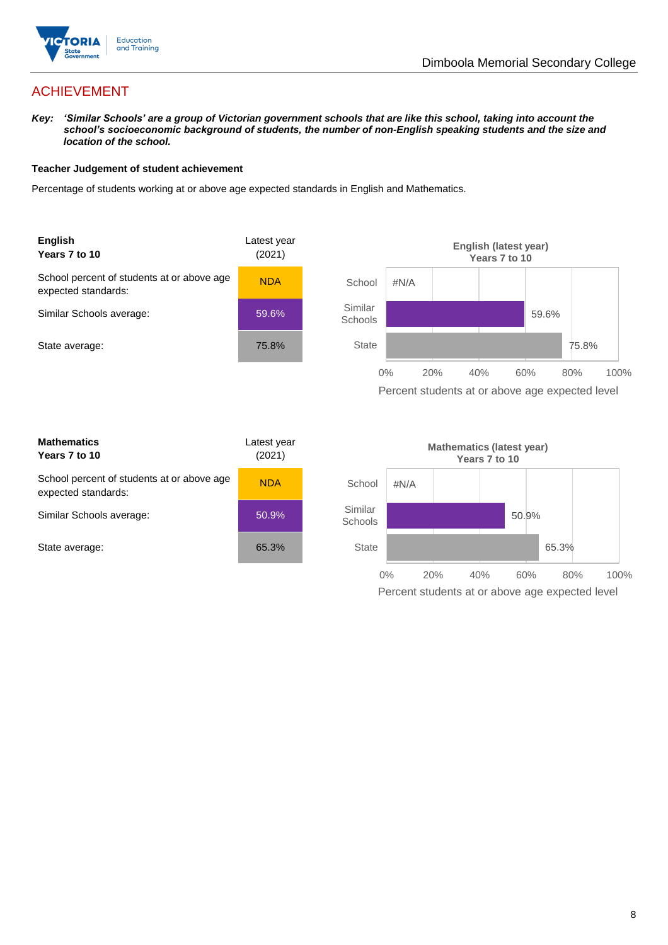

## ACHIEVEMENT

*Key: 'Similar Schools' are a group of Victorian government schools that are like this school, taking into account the school's socioeconomic background of students, the number of non-English speaking students and the size and location of the school.*

#### **Teacher Judgement of student achievement**

Percentage of students working at or above age expected standards in English and Mathematics.





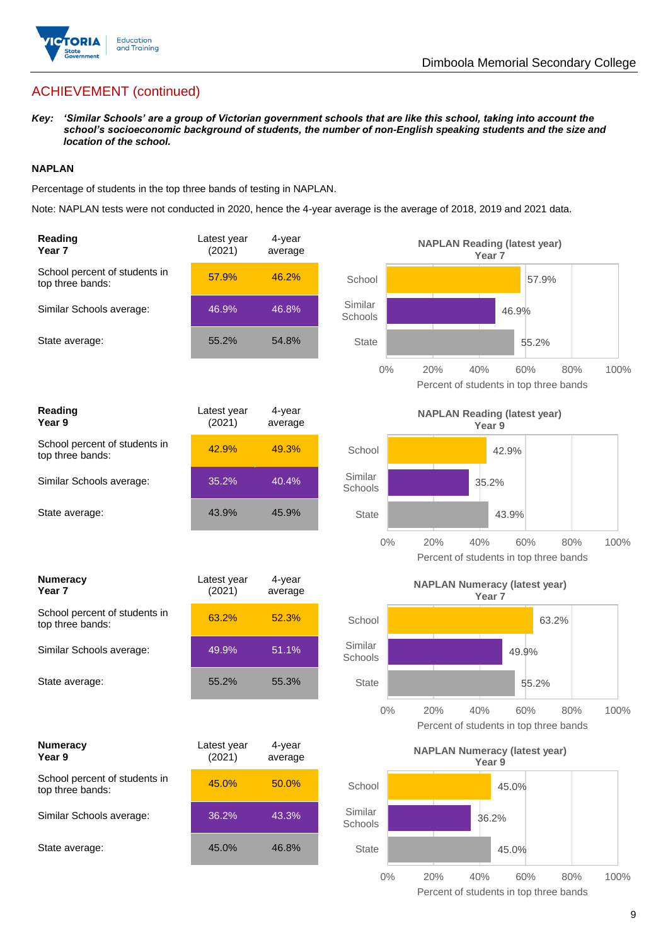

## ACHIEVEMENT (continued)

*Key: 'Similar Schools' are a group of Victorian government schools that are like this school, taking into account the school's socioeconomic background of students, the number of non-English speaking students and the size and location of the school.*

#### **NAPLAN**

Percentage of students in the top three bands of testing in NAPLAN.

Note: NAPLAN tests were not conducted in 2020, hence the 4-year average is the average of 2018, 2019 and 2021 data.

| Reading<br>Year <sub>7</sub>                      | Latest year<br>(2021) | 4-year<br>average | <b>NAPLAN Reading (latest year)</b><br>Year 7                                       |
|---------------------------------------------------|-----------------------|-------------------|-------------------------------------------------------------------------------------|
| School percent of students in<br>top three bands: | 57.9%                 | 46.2%             | School<br>57.9%                                                                     |
| Similar Schools average:                          | 46.9%                 | 46.8%             | Similar<br>46.9%<br>Schools                                                         |
| State average:                                    | 55.2%                 | 54.8%             | <b>State</b><br>55.2%                                                               |
|                                                   |                       |                   | $0\%$<br>20%<br>40%<br>60%<br>80%<br>100%<br>Percent of students in top three bands |
| <b>Reading</b><br>Year 9                          | Latest year<br>(2021) | 4-year<br>average | <b>NAPLAN Reading (latest year)</b><br>Year 9                                       |
| School percent of students in<br>top three bands: | 42.9%                 | 49.3%             | School<br>42.9%                                                                     |
| Similar Schools average:                          | 35.2%                 | 40.4%             | Similar<br>35.2%<br>Schools                                                         |
| State average:                                    | 43.9%                 | 45.9%             | <b>State</b><br>43.9%                                                               |
|                                                   |                       |                   | $0\%$<br>20%<br>80%<br>40%<br>60%<br>100%<br>Percent of students in top three bands |
|                                                   |                       |                   |                                                                                     |
| <b>Numeracy</b><br>Year 7                         | Latest year<br>(2021) | 4-year<br>average | <b>NAPLAN Numeracy (latest year)</b><br>Year <sub>7</sub>                           |
| School percent of students in<br>top three bands: | 63.2%                 | 52.3%             | School<br>63.2%                                                                     |
| Similar Schools average:                          | 49.9%                 | 51.1%             | Similar<br>49.9%<br>Schools                                                         |
| State average:                                    | 55.2%                 | 55.3%             | <b>State</b><br>55.2%                                                               |
|                                                   |                       |                   | $0\%$<br>20%<br>40%<br>60%<br>80%<br>100%<br>Percent of students in top three bands |
| <b>Numeracy</b><br>Year 9                         | Latest year<br>(2021) | 4-year<br>average | <b>NAPLAN Numeracy (latest year)</b><br>Year 9                                      |
| School percent of students in<br>top three bands: | 45.0%                 | 50.0%             | School<br>45.0%                                                                     |
| Similar Schools average:                          | 36.2%                 | 43.3%             | Similar<br>36.2%<br>Schools                                                         |
| State average:                                    | 45.0%                 | 46.8%             | <b>State</b><br>45.0%                                                               |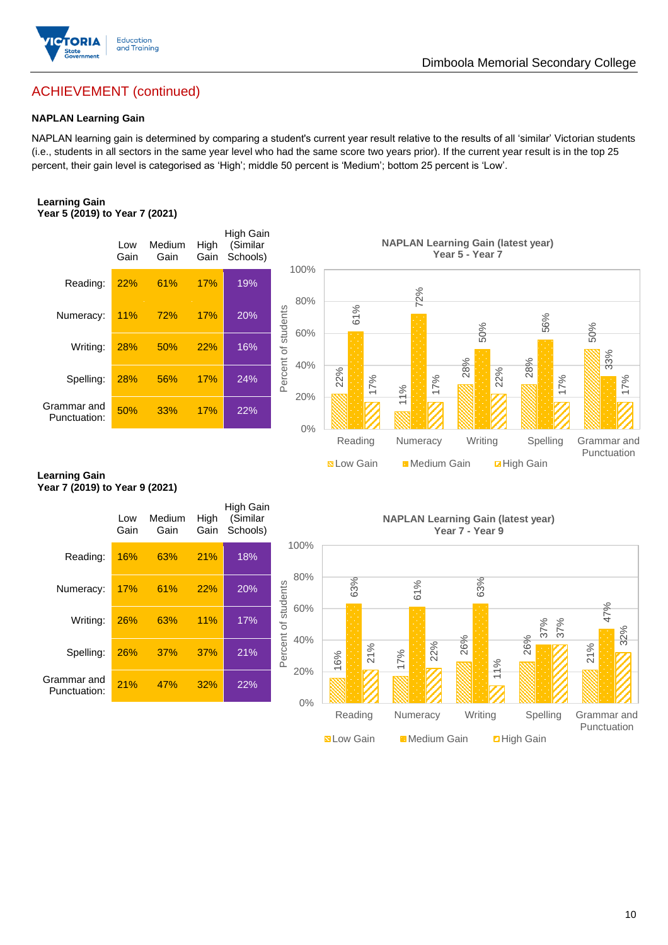

## ACHIEVEMENT (continued)

#### **NAPLAN Learning Gain**

NAPLAN learning gain is determined by comparing a student's current year result relative to the results of all 'similar' Victorian students (i.e., students in all sectors in the same year level who had the same score two years prior). If the current year result is in the top 25 percent, their gain level is categorised as 'High'; middle 50 percent is 'Medium'; bottom 25 percent is 'Low'.

#### **Learning Gain Year 5 (2019) to Year 7 (2021)**



#### **Learning Gain Year 7 (2019) to Year 9 (2021)**

| Spelling:<br>Grammar and<br>Punctuation:               | 28%<br>50%  | 56%<br>33%     | 17%<br>17%   | 24%<br>22%                        | Percent<br>40%<br>20%<br>$0\%$ | 22%               | 17%<br>Reading | 1%       | 17%<br>Numeracy    | 28%             | 22%<br>Writing | 28%<br>Spelling                           | 17% | က္က                        | 17%         |
|--------------------------------------------------------|-------------|----------------|--------------|-----------------------------------|--------------------------------|-------------------|----------------|----------|--------------------|-----------------|----------------|-------------------------------------------|-----|----------------------------|-------------|
| <b>Learning Gain</b><br>Year 7 (2019) to Year 9 (2021) |             |                |              |                                   |                                | <b>N</b> Low Gain |                |          | Medium Gain        |                 |                | <b>Z</b> High Gain                        |     | Grammar and                | Punctuation |
|                                                        | Low<br>Gain | Medium<br>Gain | High<br>Gain | High Gain<br>(Similar<br>Schools) | 100%                           |                   |                |          |                    | Year 7 - Year 9 |                | <b>NAPLAN Learning Gain (latest year)</b> |     |                            |             |
| Reading:                                               | 16%         | 63%            | 21%          | 18%                               |                                |                   |                |          |                    |                 |                |                                           |     |                            |             |
| Numeracy:                                              | 17%         | 61%            | 22%          | 20%                               | 80%                            |                   | 63%            | 61%      |                    | 63%             |                |                                           |     |                            |             |
| Writing:                                               | 26%         | 63%            | 11%          | 17%                               | Percent of students<br>60%     |                   |                |          |                    |                 |                | 37%                                       | 37% | 47%                        | 32%         |
| Spelling:                                              | 26%         | 37%            | 37%          | 21%                               | 40%                            | 16%               | 21%            | 17%      | 22%                | 26%             | 1%             | 26%                                       |     | 21%                        |             |
| Grammar and<br>Punctuation:                            | 21%         | 47%            | 32%          | 22%                               | 20%<br>$0\%$                   |                   |                |          |                    |                 |                |                                           |     |                            |             |
|                                                        |             |                |              |                                   |                                |                   | Reading        | Numeracy |                    | Writing         |                | Spelling                                  |     | Grammar and<br>Punctuation |             |
|                                                        |             |                |              |                                   |                                | <b>N</b> Low Gain |                |          | <b>Medium Gain</b> |                 |                | <b>D</b> High Gain                        |     |                            |             |

10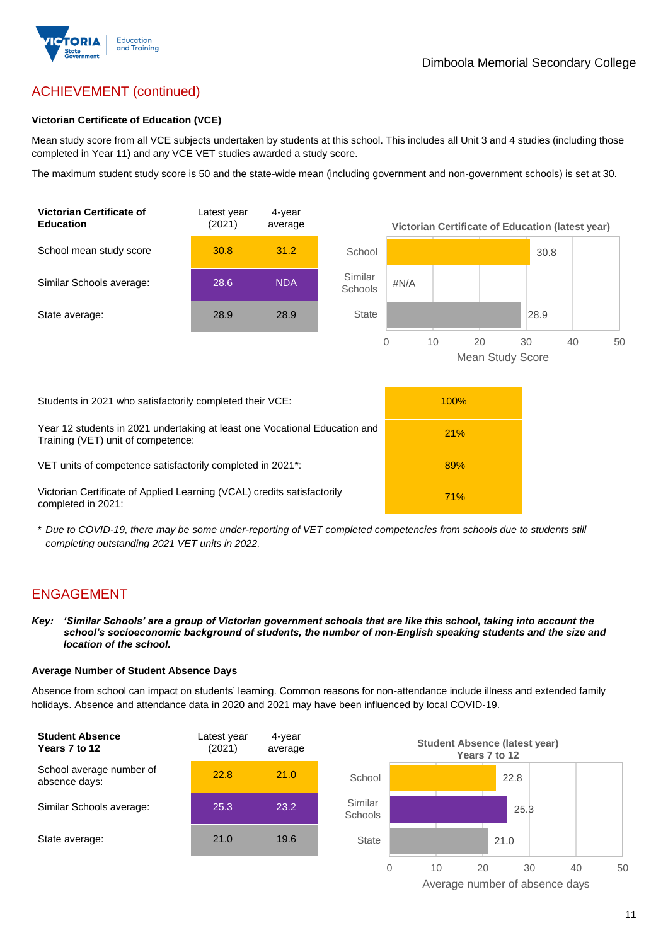

## ACHIEVEMENT (continued)

#### **Victorian Certificate of Education (VCE)**

Mean study score from all VCE subjects undertaken by students at this school. This includes all Unit 3 and 4 studies (including those completed in Year 11) and any VCE VET studies awarded a study score.

The maximum student study score is 50 and the state-wide mean (including government and non-government schools) is set at 30.



\* *Due to COVID-19, there may be some under-reporting of VET completed competencies from schools due to students still completing outstanding 2021 VET units in 2022.*

#### ENGAGEMENT

*Key: 'Similar Schools' are a group of Victorian government schools that are like this school, taking into account the school's socioeconomic background of students, the number of non-English speaking students and the size and location of the school.*

#### **Average Number of Student Absence Days**

Absence from school can impact on students' learning. Common reasons for non-attendance include illness and extended family holidays. Absence and attendance data in 2020 and 2021 may have been influenced by local COVID-19.



Average number of absence days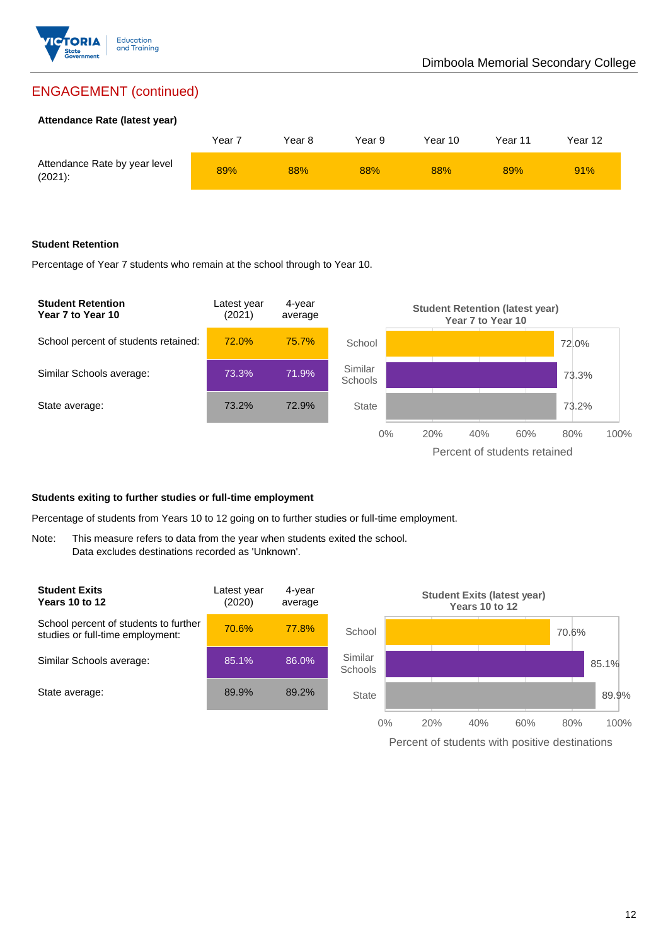

## ENGAGEMENT (continued)

#### **Attendance Rate (latest year)**

|                                             | Year 7 | Year 8 | Year 9 | Year 10 | Year 11 | Year 12 |
|---------------------------------------------|--------|--------|--------|---------|---------|---------|
| Attendance Rate by year level<br>$(2021)$ : | 89%    | 88%    | 88%    | 88%     | 89%     | 91%     |

#### **Student Retention**

Percentage of Year 7 students who remain at the school through to Year 10.



#### **Students exiting to further studies or full-time employment**

Percentage of students from Years 10 to 12 going on to further studies or full-time employment.

Note: This measure refers to data from the year when students exited the school. Data excludes destinations recorded as 'Unknown'.



Percent of students with positive destinations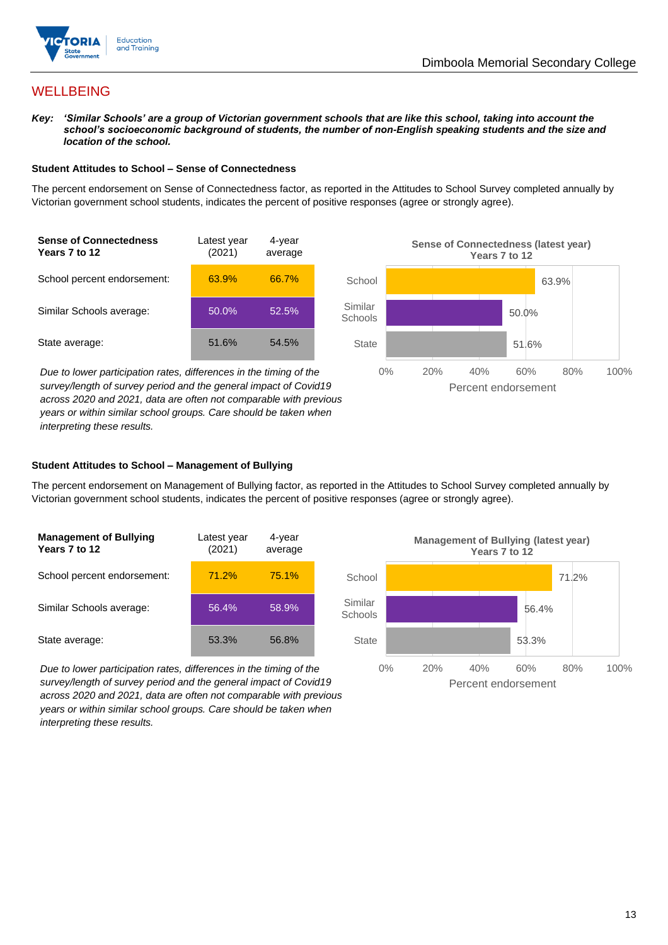

## **WELLBEING**

*Key: 'Similar Schools' are a group of Victorian government schools that are like this school, taking into account the school's socioeconomic background of students, the number of non-English speaking students and the size and location of the school.*

#### **Student Attitudes to School – Sense of Connectedness**

The percent endorsement on Sense of Connectedness factor, as reported in the Attitudes to School Survey completed annually by Victorian government school students, indicates the percent of positive responses (agree or strongly agree).



*Due to lower participation rates, differences in the timing of the survey/length of survey period and the general impact of Covid19 across 2020 and 2021, data are often not comparable with previous years or within similar school groups. Care should be taken when interpreting these results.*



#### **Student Attitudes to School – Management of Bullying**

The percent endorsement on Management of Bullying factor, as reported in the Attitudes to School Survey completed annually by Victorian government school students, indicates the percent of positive responses (agree or strongly agree).

| <b>Management of Bullying</b><br>Years 7 to 12 | Latest year<br>(2021) | 4-year<br>average |  |
|------------------------------------------------|-----------------------|-------------------|--|
| School percent endorsement:                    | 71.2%                 | 75.1%             |  |
| Similar Schools average:                       | 56.4%                 | 58.9%             |  |
| State average:                                 | 53.3%                 | 56.8%             |  |

*Due to lower participation rates, differences in the timing of the survey/length of survey period and the general impact of Covid19 across 2020 and 2021, data are often not comparable with previous years or within similar school groups. Care should be taken when interpreting these results.*

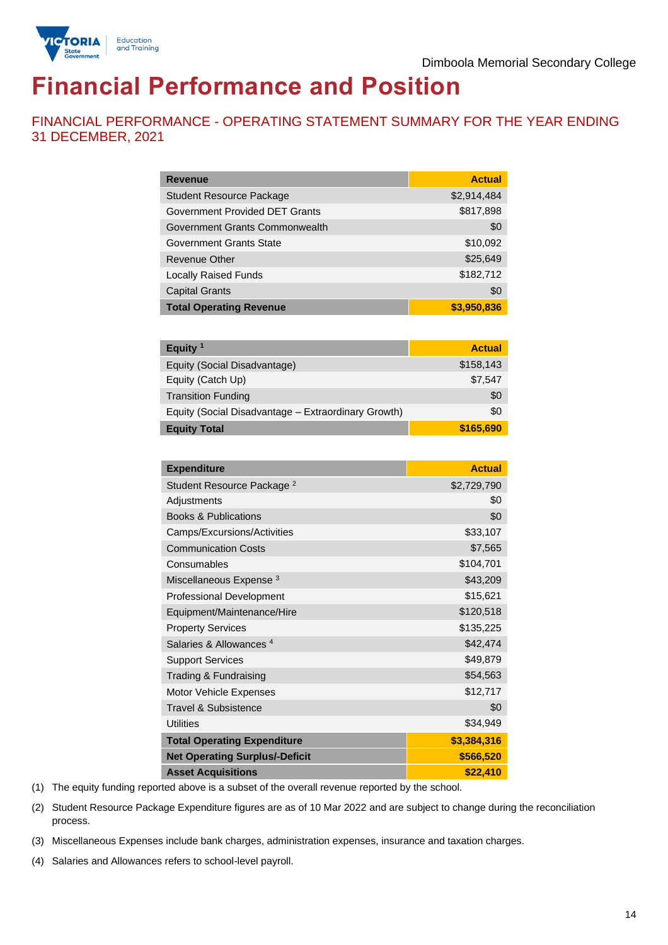

# **Financial Performance and Position**

FINANCIAL PERFORMANCE - OPERATING STATEMENT SUMMARY FOR THE YEAR ENDING 31 DECEMBER, 2021

| <b>Revenue</b>                  | <b>Actual</b> |
|---------------------------------|---------------|
| <b>Student Resource Package</b> | \$2,914,484   |
| Government Provided DET Grants  | \$817,898     |
| Government Grants Commonwealth  | \$0           |
| Government Grants State         | \$10,092      |
| <b>Revenue Other</b>            | \$25,649      |
| <b>Locally Raised Funds</b>     | \$182,712     |
| <b>Capital Grants</b>           | \$0           |
| <b>Total Operating Revenue</b>  | \$3,950,836   |

| Equity $1$                                          | <b>Actual</b> |
|-----------------------------------------------------|---------------|
| Equity (Social Disadvantage)                        | \$158,143     |
| Equity (Catch Up)                                   | \$7,547       |
| <b>Transition Funding</b>                           | \$0           |
| Equity (Social Disadvantage - Extraordinary Growth) | \$0           |
| <b>Equity Total</b>                                 | \$165,690     |

| <b>Expenditure</b>                    | <b>Actual</b> |
|---------------------------------------|---------------|
| Student Resource Package <sup>2</sup> | \$2,729,790   |
| Adjustments                           | \$0           |
| <b>Books &amp; Publications</b>       | \$0           |
| Camps/Excursions/Activities           | \$33,107      |
| <b>Communication Costs</b>            | \$7,565       |
| Consumables                           | \$104,701     |
| Miscellaneous Expense <sup>3</sup>    | \$43,209      |
| <b>Professional Development</b>       | \$15,621      |
| Equipment/Maintenance/Hire            | \$120,518     |
| <b>Property Services</b>              | \$135,225     |
| Salaries & Allowances <sup>4</sup>    | \$42,474      |
| <b>Support Services</b>               | \$49,879      |
| Trading & Fundraising                 | \$54,563      |
| Motor Vehicle Expenses                | \$12,717      |
| Travel & Subsistence                  | \$0           |
| <b>Utilities</b>                      | \$34,949      |
| <b>Total Operating Expenditure</b>    | \$3,384,316   |
| <b>Net Operating Surplus/-Deficit</b> | \$566,520     |
| <b>Asset Acquisitions</b>             | \$22,410      |

(1) The equity funding reported above is a subset of the overall revenue reported by the school.

(2) Student Resource Package Expenditure figures are as of 10 Mar 2022 and are subject to change during the reconciliation process.

(3) Miscellaneous Expenses include bank charges, administration expenses, insurance and taxation charges.

(4) Salaries and Allowances refers to school-level payroll.